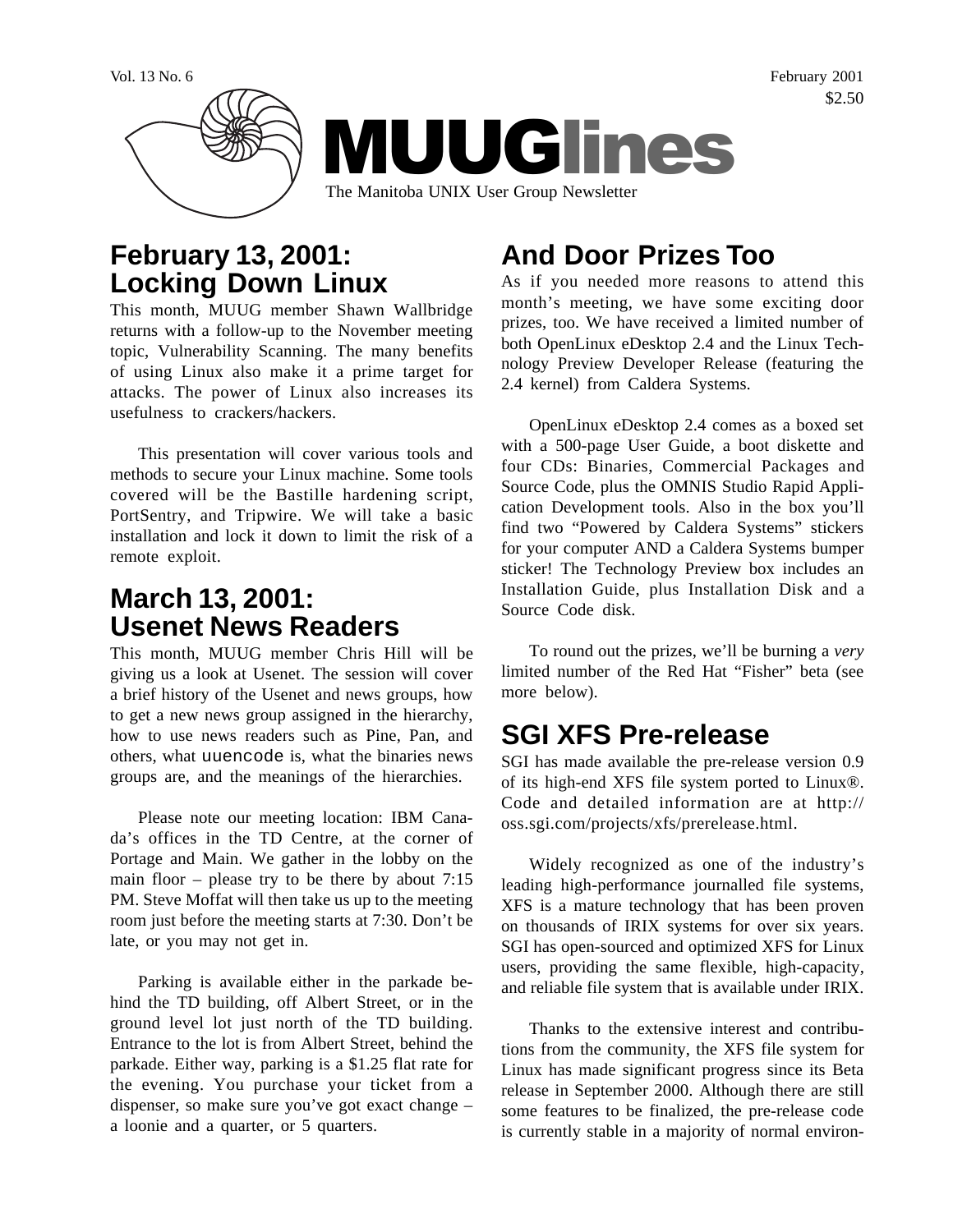

### **February 13, 2001: Locking Down Linux**

This month, MUUG member Shawn Wallbridge returns with a follow-up to the November meeting topic, Vulnerability Scanning. The many benefits of using Linux also make it a prime target for attacks. The power of Linux also increases its usefulness to crackers/hackers.

This presentation will cover various tools and methods to secure your Linux machine. Some tools covered will be the Bastille hardening script, PortSentry, and Tripwire. We will take a basic installation and lock it down to limit the risk of a remote exploit.

## **March 13, 2001: Usenet News Readers**

This month, MUUG member Chris Hill will be giving us a look at Usenet. The session will cover a brief history of the Usenet and news groups, how to get a new news group assigned in the hierarchy, how to use news readers such as Pine, Pan, and others, what uuencode is, what the binaries news groups are, and the meanings of the hierarchies.

Please note our meeting location: IBM Canada's offices in the TD Centre, at the corner of Portage and Main. We gather in the lobby on the main floor – please try to be there by about 7:15 PM. Steve Moffat will then take us up to the meeting room just before the meeting starts at 7:30. Don't be late, or you may not get in.

Parking is available either in the parkade behind the TD building, off Albert Street, or in the ground level lot just north of the TD building. Entrance to the lot is from Albert Street, behind the parkade. Either way, parking is a \$1.25 flat rate for the evening. You purchase your ticket from a dispenser, so make sure you've got exact change – a loonie and a quarter, or 5 quarters.

# **And Door Prizes Too**

As if you needed more reasons to attend this month's meeting, we have some exciting door prizes, too. We have received a limited number of both OpenLinux eDesktop 2.4 and the Linux Technology Preview Developer Release (featuring the 2.4 kernel) from Caldera Systems.

OpenLinux eDesktop 2.4 comes as a boxed set with a 500-page User Guide, a boot diskette and four CDs: Binaries, Commercial Packages and Source Code, plus the OMNIS Studio Rapid Application Development tools. Also in the box you'll find two "Powered by Caldera Systems" stickers for your computer AND a Caldera Systems bumper sticker! The Technology Preview box includes an Installation Guide, plus Installation Disk and a Source Code disk.

To round out the prizes, we'll be burning a *very* limited number of the Red Hat "Fisher" beta (see more below).

## **SGI XFS Pre-release**

SGI has made available the pre-release version 0.9 of its high-end XFS file system ported to Linux®. Code and detailed information are at http:// oss.sgi.com/projects/xfs/prerelease.html.

Widely recognized as one of the industry's leading high-performance journalled file systems, XFS is a mature technology that has been proven on thousands of IRIX systems for over six years. SGI has open-sourced and optimized XFS for Linux users, providing the same flexible, high-capacity, and reliable file system that is available under IRIX.

Thanks to the extensive interest and contributions from the community, the XFS file system for Linux has made significant progress since its Beta release in September 2000. Although there are still some features to be finalized, the pre-release code is currently stable in a majority of normal environ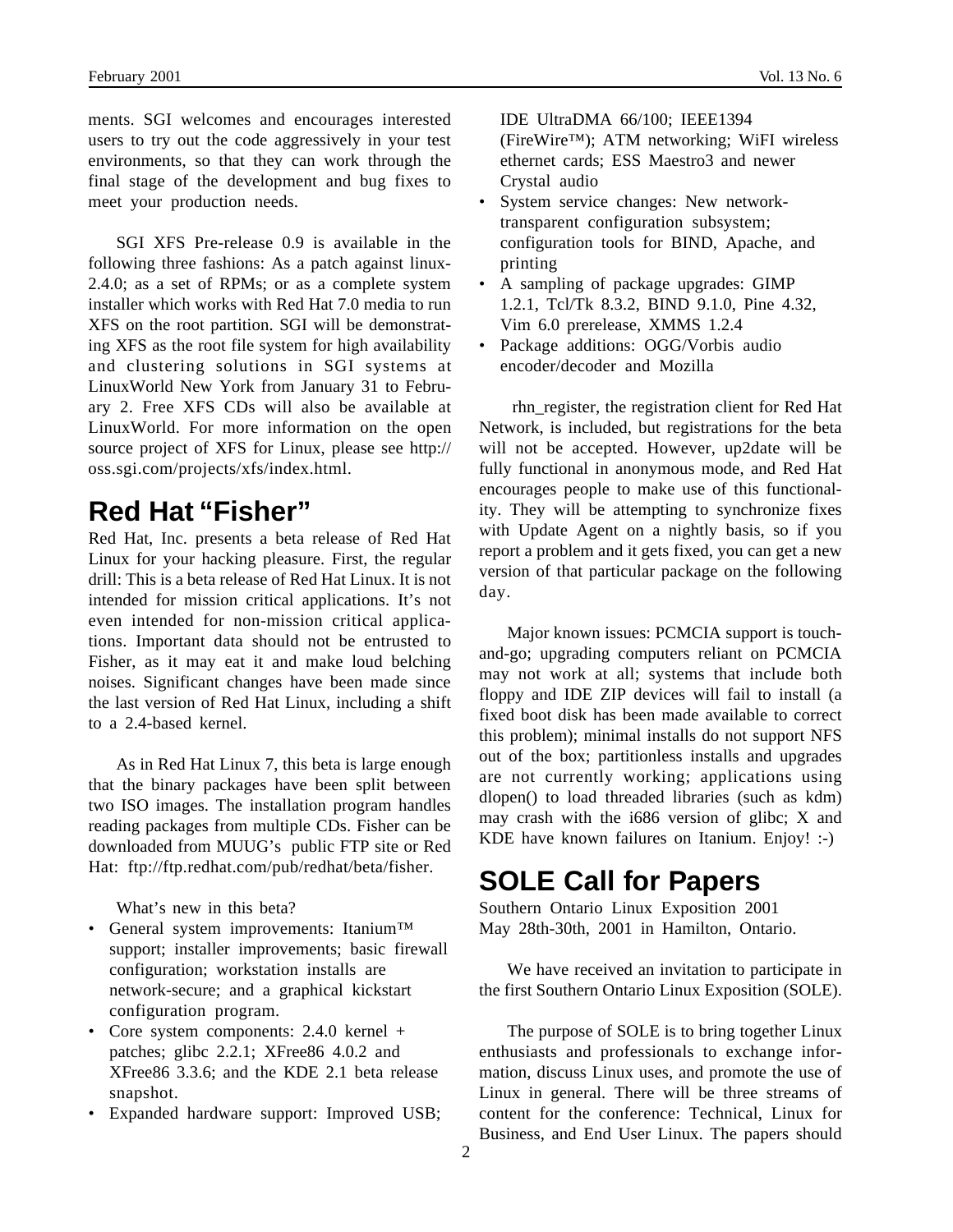ments. SGI welcomes and encourages interested users to try out the code aggressively in your test environments, so that they can work through the final stage of the development and bug fixes to meet your production needs.

SGI XFS Pre-release 0.9 is available in the following three fashions: As a patch against linux-2.4.0; as a set of RPMs; or as a complete system installer which works with Red Hat 7.0 media to run XFS on the root partition. SGI will be demonstrating XFS as the root file system for high availability and clustering solutions in SGI systems at LinuxWorld New York from January 31 to February 2. Free XFS CDs will also be available at LinuxWorld. For more information on the open source project of XFS for Linux, please see http:// oss.sgi.com/projects/xfs/index.html.

## **Red Hat "Fisher"**

Red Hat, Inc. presents a beta release of Red Hat Linux for your hacking pleasure. First, the regular drill: This is a beta release of Red Hat Linux. It is not intended for mission critical applications. It's not even intended for non-mission critical applications. Important data should not be entrusted to Fisher, as it may eat it and make loud belching noises. Significant changes have been made since the last version of Red Hat Linux, including a shift to a 2.4-based kernel.

As in Red Hat Linux 7, this beta is large enough that the binary packages have been split between two ISO images. The installation program handles reading packages from multiple CDs. Fisher can be downloaded from MUUG's public FTP site or Red Hat: ftp://ftp.redhat.com/pub/redhat/beta/fisher.

What's new in this beta?

- General system improvements: Itanium<sup>™</sup> support; installer improvements; basic firewall configuration; workstation installs are network-secure; and a graphical kickstart configuration program.
- Core system components: 2.4.0 kernel + patches; glibc 2.2.1; XFree86 4.0.2 and XFree86 3.3.6; and the KDE 2.1 beta release snapshot.
- Expanded hardware support: Improved USB;

IDE UltraDMA 66/100; IEEE1394 (FireWire™); ATM networking; WiFI wireless ethernet cards; ESS Maestro3 and newer Crystal audio

- System service changes: New networktransparent configuration subsystem; configuration tools for BIND, Apache, and printing
- A sampling of package upgrades: GIMP 1.2.1, Tcl/Tk 8.3.2, BIND 9.1.0, Pine 4.32, Vim 6.0 prerelease, XMMS 1.2.4
- Package additions: OGG/Vorbis audio encoder/decoder and Mozilla

 rhn\_register, the registration client for Red Hat Network, is included, but registrations for the beta will not be accepted. However, up2date will be fully functional in anonymous mode, and Red Hat encourages people to make use of this functionality. They will be attempting to synchronize fixes with Update Agent on a nightly basis, so if you report a problem and it gets fixed, you can get a new version of that particular package on the following day.

Major known issues: PCMCIA support is touchand-go; upgrading computers reliant on PCMCIA may not work at all; systems that include both floppy and IDE ZIP devices will fail to install (a fixed boot disk has been made available to correct this problem); minimal installs do not support NFS out of the box; partitionless installs and upgrades are not currently working; applications using dlopen() to load threaded libraries (such as kdm) may crash with the i686 version of glibc; X and KDE have known failures on Itanium. Enjoy! :-)

### **SOLE Call for Papers**

Southern Ontario Linux Exposition 2001 May 28th-30th, 2001 in Hamilton, Ontario.

We have received an invitation to participate in the first Southern Ontario Linux Exposition (SOLE).

The purpose of SOLE is to bring together Linux enthusiasts and professionals to exchange information, discuss Linux uses, and promote the use of Linux in general. There will be three streams of content for the conference: Technical, Linux for Business, and End User Linux. The papers should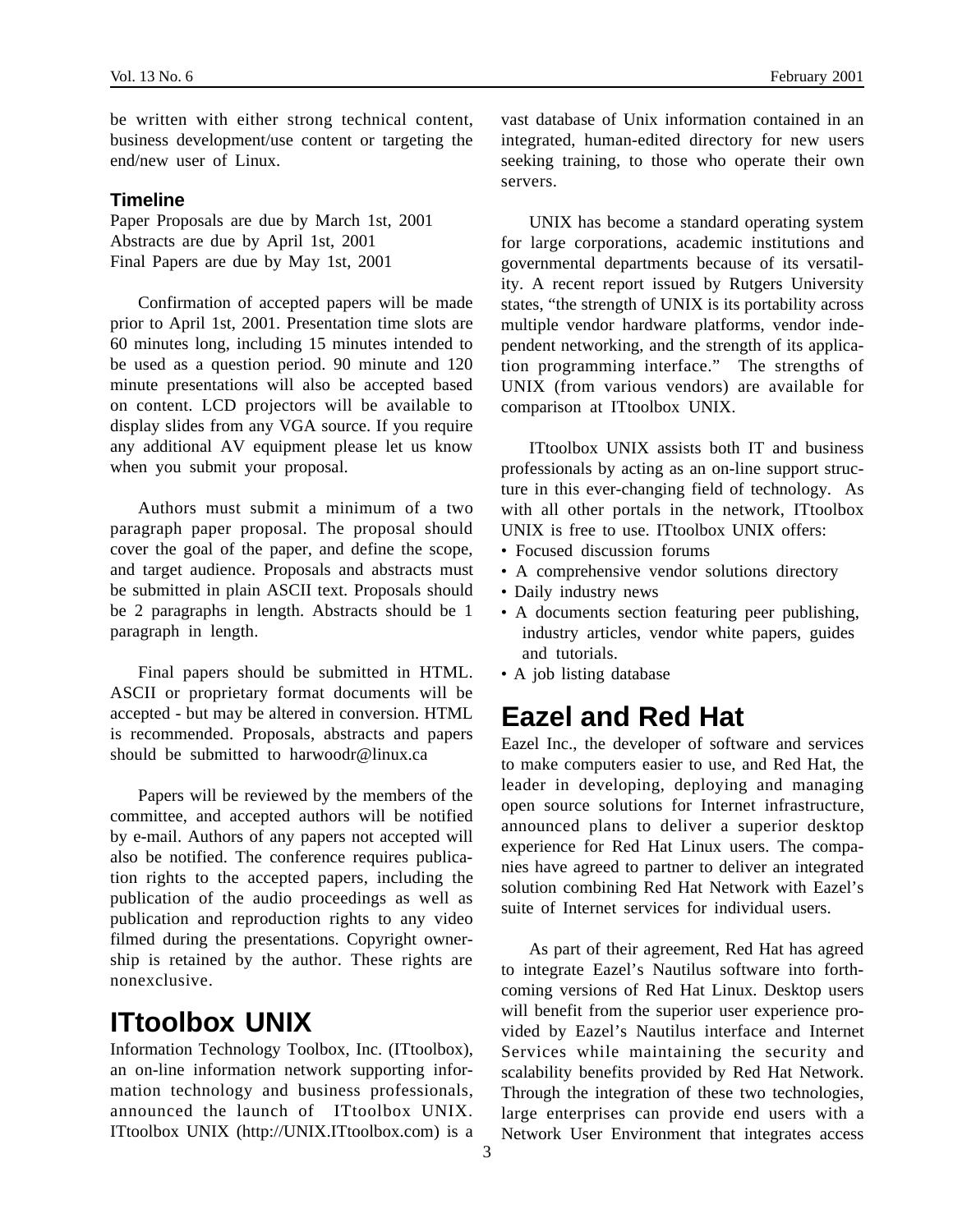be written with either strong technical content, business development/use content or targeting the end/new user of Linux.

#### **Timeline**

Paper Proposals are due by March 1st, 2001 Abstracts are due by April 1st, 2001 Final Papers are due by May 1st, 2001

Confirmation of accepted papers will be made prior to April 1st, 2001. Presentation time slots are 60 minutes long, including 15 minutes intended to be used as a question period. 90 minute and 120 minute presentations will also be accepted based on content. LCD projectors will be available to display slides from any VGA source. If you require any additional AV equipment please let us know when you submit your proposal.

Authors must submit a minimum of a two paragraph paper proposal. The proposal should cover the goal of the paper, and define the scope, and target audience. Proposals and abstracts must be submitted in plain ASCII text. Proposals should be 2 paragraphs in length. Abstracts should be 1 paragraph in length.

Final papers should be submitted in HTML. ASCII or proprietary format documents will be accepted - but may be altered in conversion. HTML is recommended. Proposals, abstracts and papers should be submitted to harwoodr@linux.ca

Papers will be reviewed by the members of the committee, and accepted authors will be notified by e-mail. Authors of any papers not accepted will also be notified. The conference requires publication rights to the accepted papers, including the publication of the audio proceedings as well as publication and reproduction rights to any video filmed during the presentations. Copyright ownership is retained by the author. These rights are nonexclusive.

### **ITtoolbox UNIX**

Information Technology Toolbox, Inc. (ITtoolbox), an on-line information network supporting information technology and business professionals, announced the launch of ITtoolbox UNIX. ITtoolbox UNIX (http://UNIX.ITtoolbox.com) is a vast database of Unix information contained in an integrated, human-edited directory for new users seeking training, to those who operate their own servers.

UNIX has become a standard operating system for large corporations, academic institutions and governmental departments because of its versatility. A recent report issued by Rutgers University states, "the strength of UNIX is its portability across multiple vendor hardware platforms, vendor independent networking, and the strength of its application programming interface." The strengths of UNIX (from various vendors) are available for comparison at ITtoolbox UNIX.

ITtoolbox UNIX assists both IT and business professionals by acting as an on-line support structure in this ever-changing field of technology. As with all other portals in the network, ITtoolbox UNIX is free to use. ITtoolbox UNIX offers:

- Focused discussion forums
- A comprehensive vendor solutions directory
- Daily industry news
- A documents section featuring peer publishing, industry articles, vendor white papers, guides and tutorials.
- A job listing database

### **Eazel and Red Hat**

Eazel Inc., the developer of software and services to make computers easier to use, and Red Hat, the leader in developing, deploying and managing open source solutions for Internet infrastructure, announced plans to deliver a superior desktop experience for Red Hat Linux users. The companies have agreed to partner to deliver an integrated solution combining Red Hat Network with Eazel's suite of Internet services for individual users.

As part of their agreement, Red Hat has agreed to integrate Eazel's Nautilus software into forthcoming versions of Red Hat Linux. Desktop users will benefit from the superior user experience provided by Eazel's Nautilus interface and Internet Services while maintaining the security and scalability benefits provided by Red Hat Network. Through the integration of these two technologies, large enterprises can provide end users with a Network User Environment that integrates access